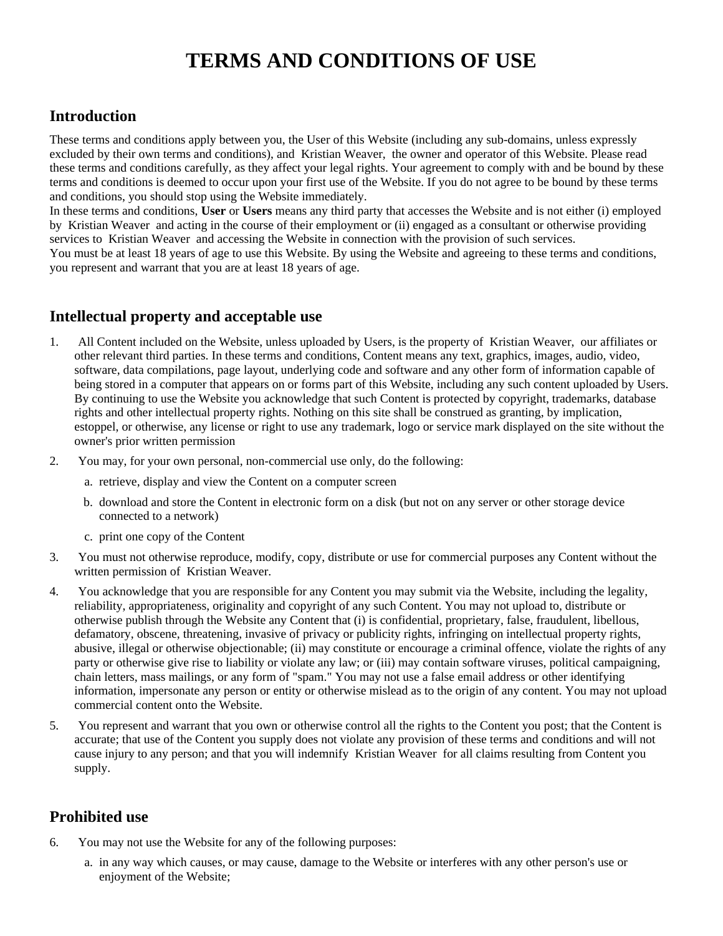# **TERMS AND CONDITIONS OF USE**

# **Introduction**

These terms and conditions apply between you, the User of this Website (including any sub-domains, unless expressly excluded by their own terms and conditions), and Kristian Weaver, the owner and operator of this Website. Please read these terms and conditions carefully, as they affect your legal rights. Your agreement to comply with and be bound by these terms and conditions is deemed to occur upon your first use of the Website. If you do not agree to be bound by these terms and conditions, you should stop using the Website immediately.

In these terms and conditions, **User** or **Users** means any third party that accesses the Website and is not either (i) employed by Kristian Weaver and acting in the course of their employment or (ii) engaged as a consultant or otherwise providing services to Kristian Weaver and accessing the Website in connection with the provision of such services. You must be at least 18 years of age to use this Website. By using the Website and agreeing to these terms and conditions, you represent and warrant that you are at least 18 years of age.

# **Intellectual property and acceptable use**

- 1. All Content included on the Website, unless uploaded by Users, is the property of Kristian Weaver, our affiliates or other relevant third parties. In these terms and conditions, Content means any text, graphics, images, audio, video, software, data compilations, page layout, underlying code and software and any other form of information capable of being stored in a computer that appears on or forms part of this Website, including any such content uploaded by Users. By continuing to use the Website you acknowledge that such Content is protected by copyright, trademarks, database rights and other intellectual property rights. Nothing on this site shall be construed as granting, by implication, estoppel, or otherwise, any license or right to use any trademark, logo or service mark displayed on the site without the owner's prior written permission
- 2. You may, for your own personal, non-commercial use only, do the following:
	- a. retrieve, display and view the Content on a computer screen
	- b. download and store the Content in electronic form on a disk (but not on any server or other storage device connected to a network)
	- c. print one copy of the Content
- 3. You must not otherwise reproduce, modify, copy, distribute or use for commercial purposes any Content without the written permission of Kristian Weaver.
- 4. You acknowledge that you are responsible for any Content you may submit via the Website, including the legality, reliability, appropriateness, originality and copyright of any such Content. You may not upload to, distribute or otherwise publish through the Website any Content that (i) is confidential, proprietary, false, fraudulent, libellous, defamatory, obscene, threatening, invasive of privacy or publicity rights, infringing on intellectual property rights, abusive, illegal or otherwise objectionable; (ii) may constitute or encourage a criminal offence, violate the rights of any party or otherwise give rise to liability or violate any law; or (iii) may contain software viruses, political campaigning, chain letters, mass mailings, or any form of "spam." You may not use a false email address or other identifying information, impersonate any person or entity or otherwise mislead as to the origin of any content. You may not upload commercial content onto the Website.
- 5. You represent and warrant that you own or otherwise control all the rights to the Content you post; that the Content is accurate; that use of the Content you supply does not violate any provision of these terms and conditions and will not cause injury to any person; and that you will indemnify Kristian Weaver for all claims resulting from Content you supply.

# **Prohibited use**

- 6. You may not use the Website for any of the following purposes:
	- a. in any way which causes, or may cause, damage to the Website or interferes with any other person's use or enjoyment of the Website;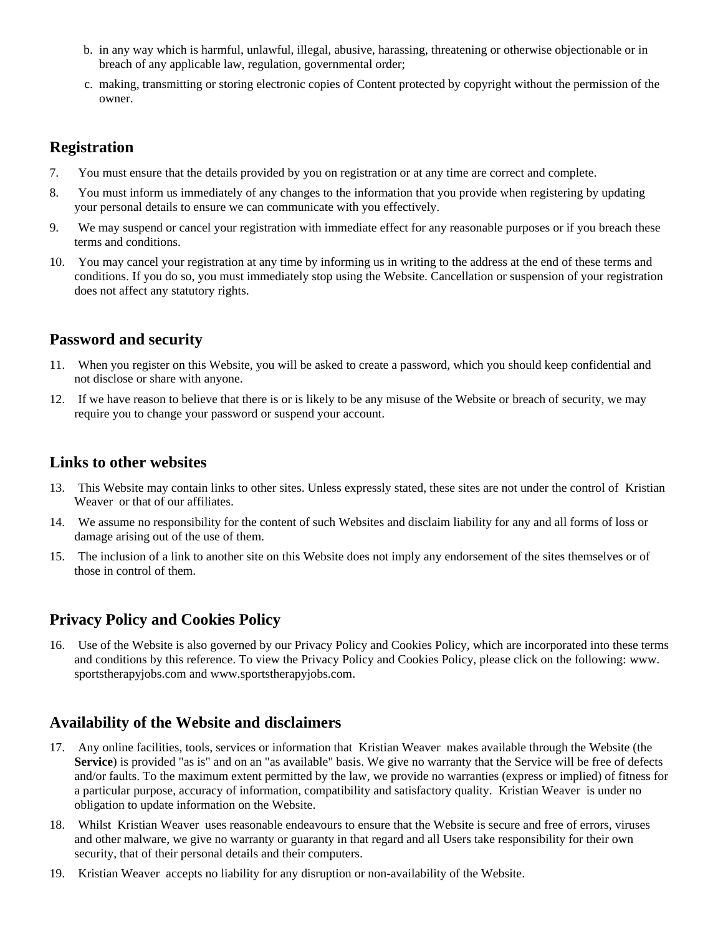- b. in any way which is harmful, unlawful, illegal, abusive, harassing, threatening or otherwise objectionable or in breach of any applicable law, regulation, governmental order;
- c. making, transmitting or storing electronic copies of Content protected by copyright without the permission of the owner.

#### **Registration**

- 7. You must ensure that the details provided by you on registration or at any time are correct and complete.
- 8. You must inform us immediately of any changes to the information that you provide when registering by updating your personal details to ensure we can communicate with you effectively.
- 9. We may suspend or cancel your registration with immediate effect for any reasonable purposes or if you breach these terms and conditions.
- 10. You may cancel your registration at any time by informing us in writing to the address at the end of these terms and conditions. If you do so, you must immediately stop using the Website. Cancellation or suspension of your registration does not affect any statutory rights.

## **Password and security**

- 11. When you register on this Website, you will be asked to create a password, which you should keep confidential and not disclose or share with anyone.
- 12. If we have reason to believe that there is or is likely to be any misuse of the Website or breach of security, we may require you to change your password or suspend your account.

#### **Links to other websites**

- 13. This Website may contain links to other sites. Unless expressly stated, these sites are not under the control of Kristian Weaver or that of our affiliates.
- 14. We assume no responsibility for the content of such Websites and disclaim liability for any and all forms of loss or damage arising out of the use of them.
- 15. The inclusion of a link to another site on this Website does not imply any endorsement of the sites themselves or of those in control of them.

# **Privacy Policy and Cookies Policy**

16. Use of the Website is also governed by our Privacy Policy and Cookies Policy, which are incorporated into these terms and conditions by this reference. To view the Privacy Policy and Cookies Policy, please click on the following: www. sportstherapyjobs.com and www.sportstherapyjobs.com.

## **Availability of the Website and disclaimers**

- 17. Any online facilities, tools, services or information that Kristian Weaver makes available through the Website (the **Service**) is provided "as is" and on an "as available" basis. We give no warranty that the Service will be free of defects and/or faults. To the maximum extent permitted by the law, we provide no warranties (express or implied) of fitness for a particular purpose, accuracy of information, compatibility and satisfactory quality. Kristian Weaver is under no obligation to update information on the Website.
- 18. Whilst Kristian Weaver uses reasonable endeavours to ensure that the Website is secure and free of errors, viruses and other malware, we give no warranty or guaranty in that regard and all Users take responsibility for their own security, that of their personal details and their computers.
- 19. Kristian Weaver accepts no liability for any disruption or non-availability of the Website.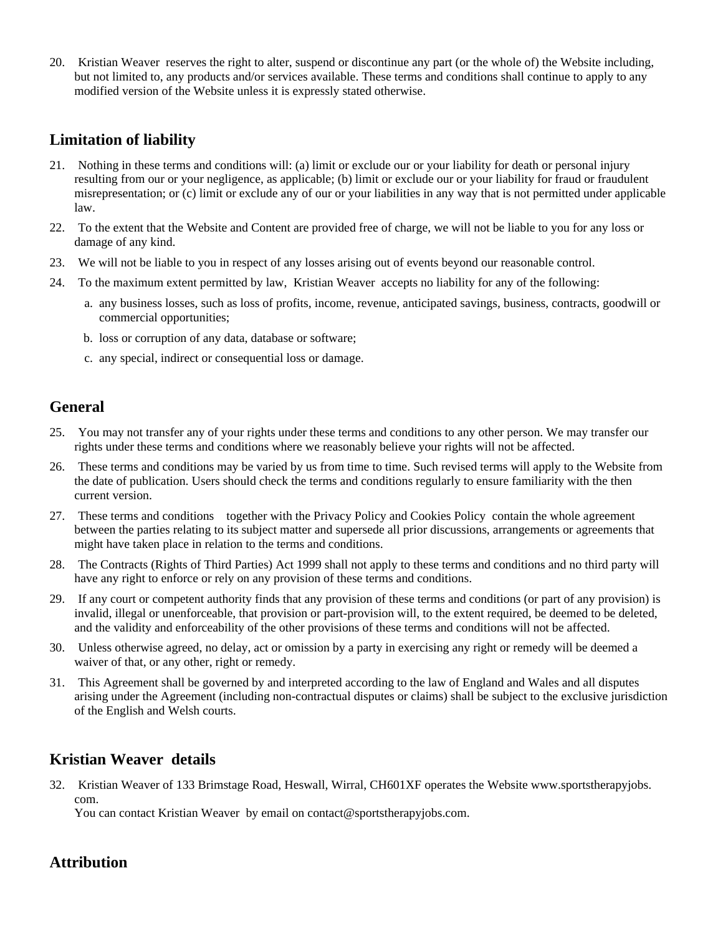20. Kristian Weaver reserves the right to alter, suspend or discontinue any part (or the whole of) the Website including, but not limited to, any products and/or services available. These terms and conditions shall continue to apply to any modified version of the Website unless it is expressly stated otherwise.

## **Limitation of liability**

- 21. Nothing in these terms and conditions will: (a) limit or exclude our or your liability for death or personal injury resulting from our or your negligence, as applicable; (b) limit or exclude our or your liability for fraud or fraudulent misrepresentation; or (c) limit or exclude any of our or your liabilities in any way that is not permitted under applicable law.
- 22. To the extent that the Website and Content are provided free of charge, we will not be liable to you for any loss or damage of any kind.
- 23. We will not be liable to you in respect of any losses arising out of events beyond our reasonable control.
- 24. To the maximum extent permitted by law, Kristian Weaver accepts no liability for any of the following:
	- a. any business losses, such as loss of profits, income, revenue, anticipated savings, business, contracts, goodwill or commercial opportunities;
	- b. loss or corruption of any data, database or software;
	- c. any special, indirect or consequential loss or damage.

## **General**

- 25. You may not transfer any of your rights under these terms and conditions to any other person. We may transfer our rights under these terms and conditions where we reasonably believe your rights will not be affected.
- 26. These terms and conditions may be varied by us from time to time. Such revised terms will apply to the Website from the date of publication. Users should check the terms and conditions regularly to ensure familiarity with the then current version.
- 27. These terms and conditions together with the Privacy Policy and Cookies Policy contain the whole agreement between the parties relating to its subject matter and supersede all prior discussions, arrangements or agreements that might have taken place in relation to the terms and conditions.
- 28. The Contracts (Rights of Third Parties) Act 1999 shall not apply to these terms and conditions and no third party will have any right to enforce or rely on any provision of these terms and conditions.
- 29. If any court or competent authority finds that any provision of these terms and conditions (or part of any provision) is invalid, illegal or unenforceable, that provision or part-provision will, to the extent required, be deemed to be deleted, and the validity and enforceability of the other provisions of these terms and conditions will not be affected.
- 30. Unless otherwise agreed, no delay, act or omission by a party in exercising any right or remedy will be deemed a waiver of that, or any other, right or remedy.
- 31. This Agreement shall be governed by and interpreted according to the law of England and Wales and all disputes arising under the Agreement (including non-contractual disputes or claims) shall be subject to the exclusive jurisdiction of the English and Welsh courts.

# **Kristian Weaver details**

32. Kristian Weaver of 133 Brimstage Road, Heswall, Wirral, CH601XF operates the Website www.sportstherapyjobs. com.

You can contact Kristian Weaver by email on contact@sportstherapyjobs.com.

# **Attribution**